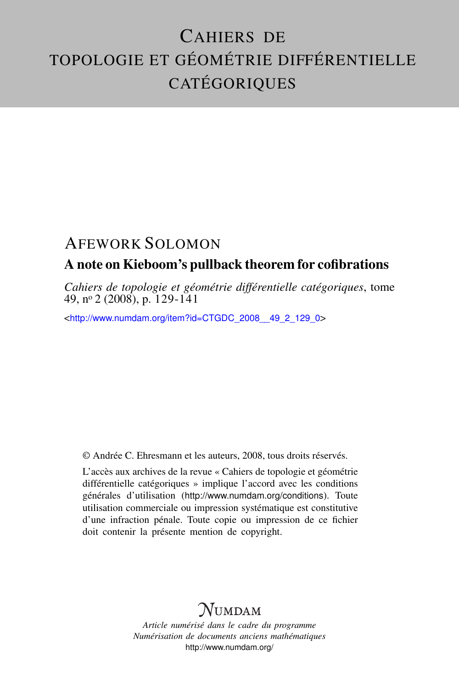# CAHIERS DE TOPOLOGIE ET GÉOMÉTRIE DIFFÉRENTIELLE **CATÉGORIQUES**

## AFEWORK SOLOMON

### A note on Kieboom's pullback theorem for cofibrations

*Cahiers de topologie et géométrie différentielle catégoriques*, tome 49, n<sup>o</sup> 2 (2008), p. 129-141

<[http://www.numdam.org/item?id=CTGDC\\_2008\\_\\_49\\_2\\_129\\_0](http://www.numdam.org/item?id=CTGDC_2008__49_2_129_0)>

© Andrée C. Ehresmann et les auteurs, 2008, tous droits réservés.

L'accès aux archives de la revue « Cahiers de topologie et géométrie différentielle catégoriques » implique l'accord avec les conditions générales d'utilisation (<http://www.numdam.org/conditions>). Toute utilisation commerciale ou impression systématique est constitutive d'une infraction pénale. Toute copie ou impression de ce fichier doit contenir la présente mention de copyright.

## **NUMDAM**

*Article numérisé dans le cadre du programme Numérisation de documents anciens mathématiques* <http://www.numdam.org/>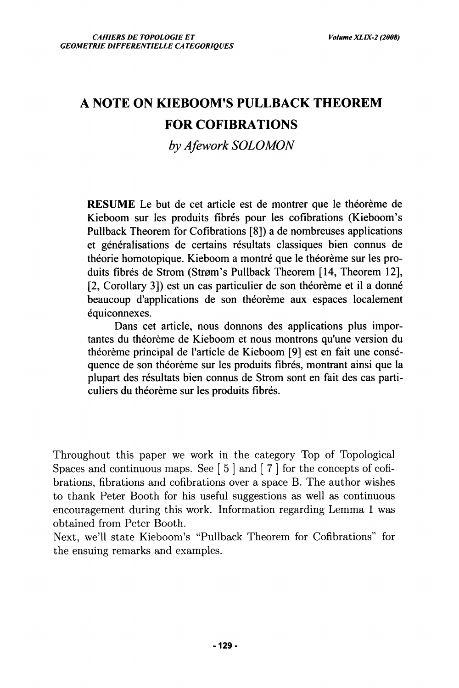## **A NOTE ON KIEBOOM'S PULLBACK THEOREM FOR COFIBRATIONS**

*by Afework SOLOMON* 

**RESUME Le but de cet article est de montrer que le théorème de**  Kieboom sur les produits fibrés pour les cofibrations (Kieboom's **Pullback Theorem for Cofibrations [8]) a de nombreuses applications et généralisations de certains résultats classiques bien connus de théorie homotopique. Kieboom a montré que le théorème sur les pro**duits fibrés de Strom (Strøm's Pullback Theorem [14, Theorem 12], **[2, Corollary 3]) est un cas particulier de son théorème et il a donné beaucoup d'applications de son théorème aux espaces localement équiconnexes.** 

**Dans cet article, nous donnons des applications plus importantes du théorème de Kieboom et nous montrons qu'une version du théorème principal de l'article de Kieboom [9] est en fait une conséquence de son théorème sur les produits fibres, montrant ainsi que la plupart des résultats bien connus de Strom sont en fait des cas parti**culiers du théorème sur les produits fibrés.

Throughout this paper we work in the category Top of Topological Spaces and continuous maps. See  $\lceil 5 \rceil$  and  $\lceil 7 \rceil$  for the concepts of cofibrations, fibrations and cofibrations over a space B. The author wishes to thank Peter Booth for his useful suggestions as well as continuous encouragement during this work. Information regarding Lemma 1 was obtained from Peter Booth.

Next, we'll state Kieboom's "Pullback Theorem for Cofibrations" for the ensuing remarks and examples.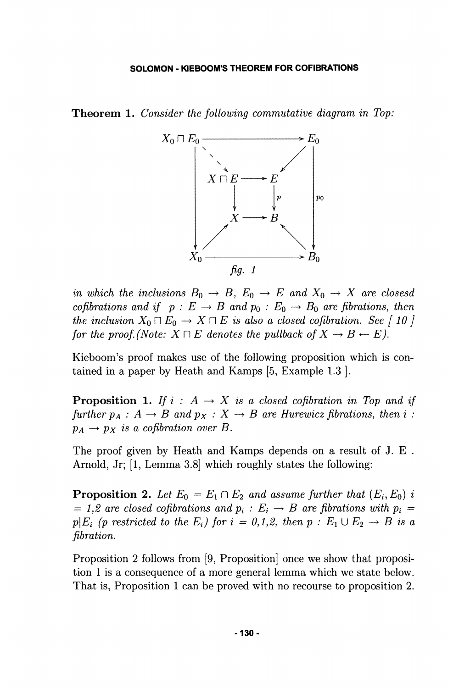**Theorem 1.** *Consider the following commutative diagram in Top:* 



*in which the inclusions*  $B_0 \rightarrow B$ ,  $E_0 \rightarrow E$  and  $X_0 \rightarrow X$  are closesd *cofibrations and if*  $p: E \to B$  *and*  $p_0: E_0 \to B_0$  *are fibrations, then the inclusion*  $X_0 \sqcap E_0 \rightarrow X \sqcap E$  *is also a closed cofibration. See [ 10 ] for the proof.* (Note:  $X \sqcap E$  denotes the pullback of  $X \rightarrow B \leftarrow E$ ).

Kieboom's proof makes use of the following proposition which is contained in a paper by Heath and Kamps [5, Example 1.3 ].

**Proposition 1.** If  $i : A \rightarrow X$  is a closed cofibration in Top and if *further*  $p_A : A \rightarrow B$  and  $p_X : X \rightarrow B$  are *Hurewicz fibrations, then i :*  $p_A \rightarrow p_X$  *is a cofibration over B.* 

The proof given by Heath and Kamps depends on a result of J. E. Arnold, Jr; [1, Lemma 3.8] which roughly states the following:

**Proposition 2.** Let  $E_0 = E_1 \cap E_2$  and assume further that  $(E_i, E_0)$  i *= 1,2 are closed cofibrations and*  $p_i$  *:*  $E_i \rightarrow B$  *are fibrations with*  $p_i =$  $p\vert E_i$  (p restricted to the  $E_i$ ) for  $i = 0,1,2$ , then  $p : E_1 \cup E_2 \rightarrow B$  is a *fibration.* 

Proposition 2 follows from [9, Proposition] once we show that proposition 1 is a consequence of a more general lemma which we state below. That is, Proposition 1 can be proved with no recourse to proposition 2.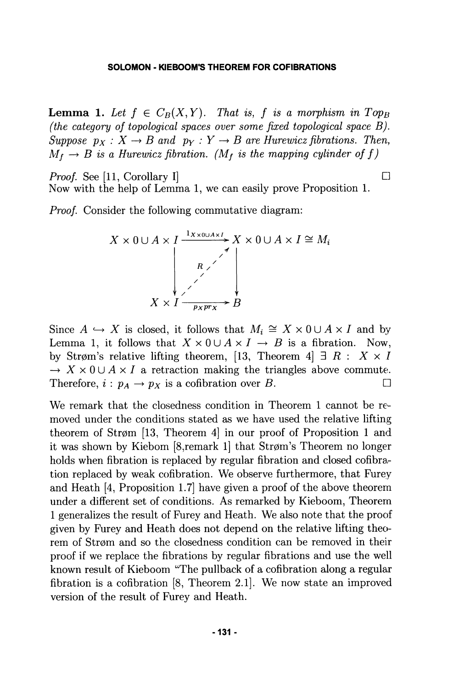**Lemma 1.** Let  $f \in C_B(X, Y)$ . That is, f is a morphism in  $Top_B$ *(the category of topological spaces over some fixed topological space B). Suppose*  $p_X : X \to B$  and  $p_Y : Y \to B$  are Hurewicz fibrations. Then,  $M_f \rightarrow B$  is a Hurewicz fibration. (M<sub>f</sub> is the mapping cylinder of f)

Now with the help of Lemma 1, we can easily prove Proposition 1.

*Proof.* See [11, Corollary I]  $\Box$ 

*Proof* Consider the following commutative diagram:

$$
X \times 0 \cup A \times I \xrightarrow{\frac{1 \times x \times 0 \cup A \times I}{R} X \times 0 \cup A \times I \cong M_i}
$$
\n
$$
X \times I \xrightarrow{\checkmark}
$$
\n
$$
B
$$

Since  $A \hookrightarrow X$  is closed, it follows that  $M_i \cong X \times 0 \cup A \times I$  and by Lemma 1, it follows that  $X \times 0 \cup A \times I \rightarrow B$  is a fibration. Now, by Strøm's relative lifting theorem, [13, Theorem 4]  $\exists R : X \times I$  $\rightarrow X \times 0 \cup A \times I$  a retraction making the triangles above commute. Therefore,  $i : p_A \to p_X$  is a cofibration over *B*.

We remark that the closedness condition in Theorem 1 cannot be removed under the conditions stated as we have used the relative lifting theorem of Strøm  $[13,$  Theorem 4 in our proof of Proposition 1 and it was shown by Kiebom [8, remark 1] that Strøm's Theorem no longer holds when fibration is replaced by regular fibration and closed cofibration replaced by weak cofibration. We observe furthermore, that Furey and Heath [4, Proposition 1.7] hâve given a proof of the above theorem under a différent set of conditions. As remarked by Kieboom, Theorem 1 generalizes the resuit of Furey and Heath. We also note that the proof given by Furey and Heath does not dépend on the relative lifting theorem of Strøm and so the closedness condition can be removed in their proof if we replace the fibrations by regular fibrations and use the well when we result of Kieboom "The pullback of a cofibration along a regular fibration is a cofibration [8, Theorem 2.1]. We now state an improved version of the resuit of Furey and Heath.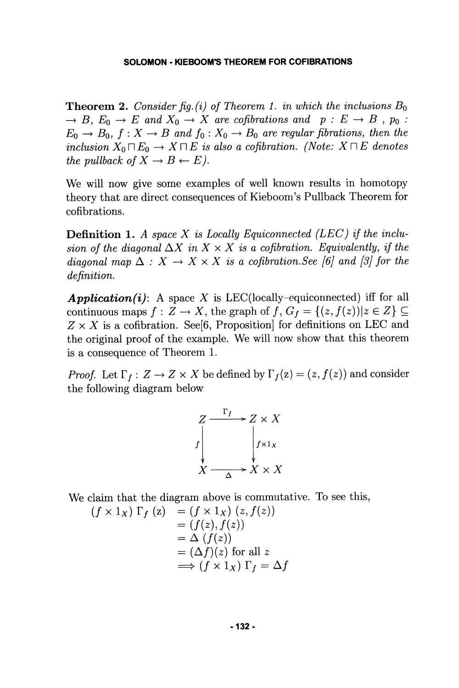**Theorem 2.** Consider fig.(i) of Theorem 1. in which the inclusions  $B_0$  $\rightarrow$  *B,*  $E_0 \rightarrow E$  and  $X_0 \rightarrow X$  are cofibrations and  $p : E \rightarrow B$ ,  $p_0 : E \rightarrow B$  $E_0 \rightarrow B_0$ ,  $f : X \rightarrow B$  and  $f_0 : X_0 \rightarrow B_0$  are regular fibrations, then the *inclusion*  $X_0 \square E_0 \rightarrow X \square E$  *is also a cofibration. (Note:*  $X \square E$  *denotes the pullback of*  $X \to B \leftarrow E$ *).* 

We will now give some examples of well known results in homotopy theory that are direct consequences of Kieboom's Pullback Theorem for cofibrations.

**Définition 1.** *A space X is Locally Equiconnected (LEC) if the inclusion of the diagonal*  $\Delta X$  *in*  $X \times X$  *is a cofibration. Equivalently, if the diagonal map*  $\Delta : X \to X \times X$  *is a cofibration. See [6] and [3] for the définition.* 

*Application(i):* A space X is LEC(locally-equiconnected) iff for all continuous maps  $f : Z \to X$ , the graph of  $f, G_f = \{(z, f(z)) | z \in Z\} \subseteq$  $Z \times X$  is a cofibration. See<sup>[6]</sup>, Proposition for definitions on LEC and the original proof of the example. We will now show that this theorem is a consequence of Theorem 1.

*Proof.* Let  $\Gamma_f$ :  $Z \to Z \times X$  be defined by  $\Gamma_f(z) = (z, f(z))$  and consider the following diagram below

$$
Z \xrightarrow{F_f} Z \times X
$$
\n
$$
f \downarrow f \downarrow x
$$
\n
$$
X \xrightarrow{\Delta} X \times X
$$

We claim that the diagram above is commutative. To see this,

$$
(f \times 1_X) \Gamma_f (z) = (f \times 1_X) (z, f(z))
$$
  
= (f(z), f(z))  
= \Delta (f(z))  
= (\Delta f)(z) for all z  
 $\implies$  (f \times 1\_X)  $\Gamma_f = \Delta f$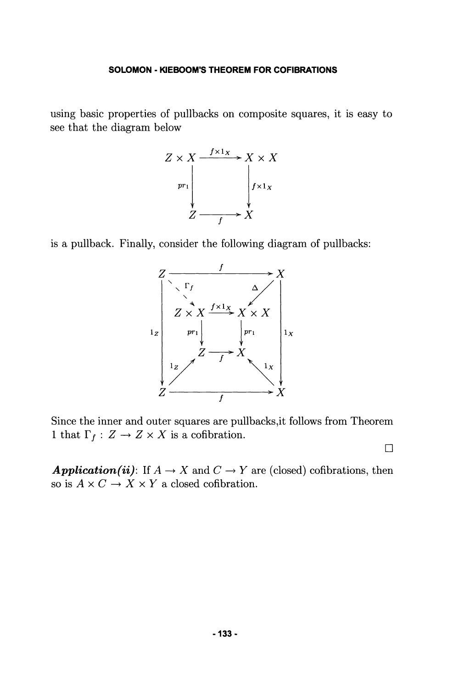using basic properties of pullbacks on composite squares, it is easy to see that the diagram below



is a pullback. Finally, consider the following diagram of pullbacks:



Since the inner and outer squares are pullbacks,it follows from Theorem 1 that  $\Gamma_f: Z \to Z \times X$  is a cofibration.

**•** 

**Application (ii):** If  $A \to X$  and  $C \to Y$  are (closed) cofibrations, then so is  $A \times C \rightarrow X \times Y$  a closed cofibration.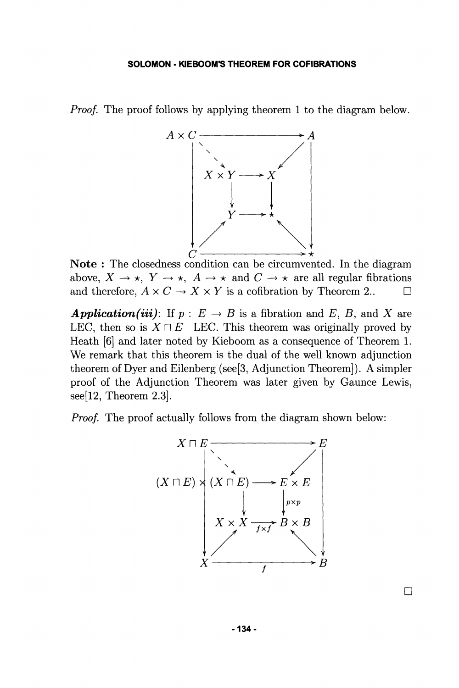*Proof.* The proof follows by applying theorem 1 to the diagram below.



**Note** : The closedness condition can be circumvented. In the diagram above,  $X \to \star$ ,  $Y \to \star$ ,  $A \to \star$  and  $C \to \star$  are all regular fibrations and therefore,  $A \times C \rightarrow X \times Y$  is a cofibration by Theorem 2..  $\Box$ 

*Application(iii)*: If  $p : E \rightarrow B$  is a fibration and E, B, and X are LEC, then so is  $X \sqcap E$  LEC. This theorem was originally proved by Heath [6] and later noted by Kieboom as a consequence of Theorem 1. We remark that this theorem is the dual of the well known adjunction theorem of Dyer and Eilenberg (see[3, Adjunction Theorem]). A simpler proof of the Adjunction Theorem was later given by Gaunce Lewis, see[12, Theorem 2.3].

*Proof.* The proof actually follows from the diagram shown below:



**• 134-**

**•**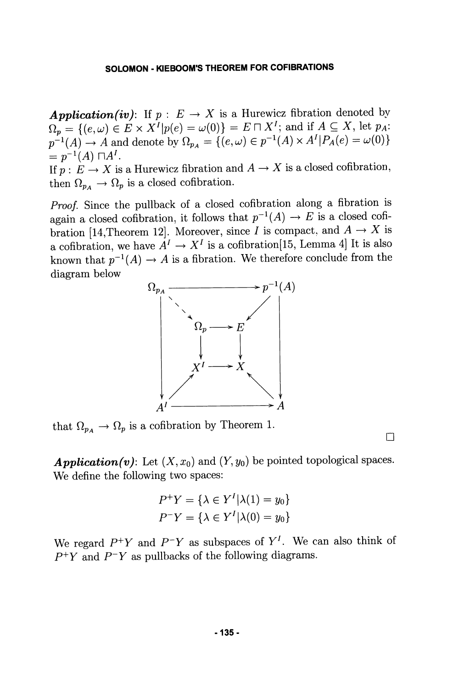**Application(iv):** If  $p : E \to X$  is a Hurewicz fibration denoted by  $\Omega_p = \{(e,\omega) \in E \times X^I | p(e) = \omega(0)\} = E \sqcap X^I;$  and if  $A \subseteq X$ , let  $p_A$ :  $p^{-1}(A) \to A$  and denote by  $\Omega_{p_A} = \{(e,\omega) \in p^{-1}(A) \times A^I | P_A(e) = \omega(0)\}$  $= p^{-1}(A) \sqcap A^I.$ *.*  If  $p: E \to X$  is a Hurewicz fibration and  $A \to X$  is a closed cofibration, then  $\Omega_{p_A} \to \Omega_p$  is a closed cofibration.

*Proof.* Since the pullback of a closed cofibration along a fibration is again a closed cofibration, it follows that  $p^{-1}(A) \to E$  is a closed cofibration [14,Theorem 12]. Moreover, since *I* is compact, and  $A \rightarrow X$  is a cofibration, we have  $A^I \to X^I$  is a cofibration[15, Lemma 4] It is also known that  $p^{-1}(A) \to A$  is a fibration. We therefore conclude from the diagram below



that  $\Omega_{p_A} \to \Omega_p$  is a cofibration by Theorem 1.

**Application(v)**: Let  $(X, x_0)$  and  $(Y, y_0)$  be pointed topological spaces. We define the following two spaces:

**•** 

$$
P^+Y = \{\lambda \in Y^I | \lambda(1) = y_0\}
$$
  

$$
P^-Y = \{\lambda \in Y^I | \lambda(0) = y_0\}
$$

We regard  $P^+Y$  and  $P^-Y$  as subspaces of  $Y^I$ . We can also think of *P+Y* and *P'Y* as pullbacks of the following diagrams.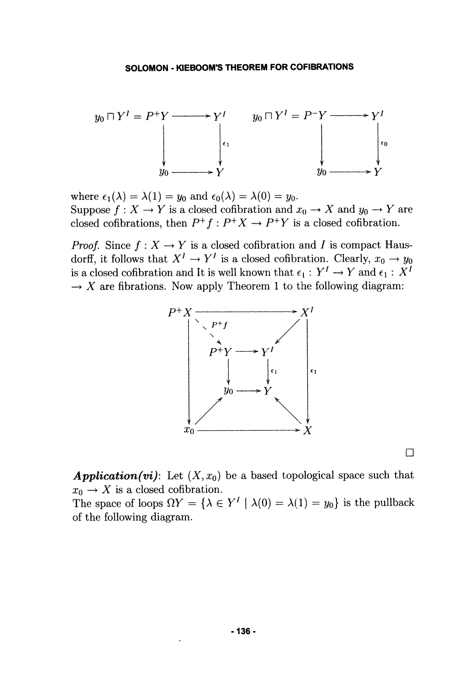

where  $\epsilon_1(\lambda) = \lambda(1) = y_0$  and  $\epsilon_0(\lambda) = \lambda(0) = y_0$ . Suppose  $f: X \to Y$  is a closed cofibration and  $x_0 \to X$  and  $y_0 \to Y$  are closed cofibrations, then  $P^+f : P^+X \to P^+Y$  is a closed cofibration.

*Proof.* Since  $f: X \to Y$  is a closed cofibration and I is compact Hausdorff, it follows that  $X^I \to Y^I$  is a closed cofibration. Clearly,  $x_0 \to y_0$ is a closed cofibration and It is well known that  $\epsilon_1: Y^I \to Y$  and  $\epsilon_1: X^I$  $\rightarrow X$  are fibrations. Now apply Theorem 1 to the following diagram:



**D** 

**Application(vi):** Let  $(X, x_0)$  be a based topological space such that  $x_0 \rightarrow X$  is a closed cofibration.

The space of loops  $\Omega Y = {\lambda \in Y' \mid \lambda(0) = \lambda(1) = y_0}$  is the pullback of the following diagram.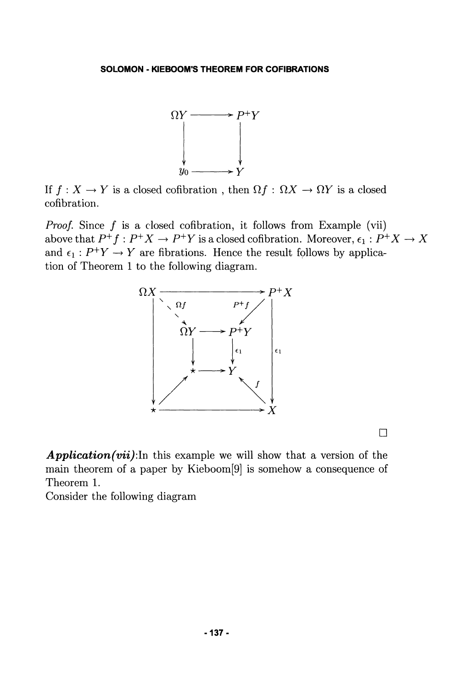

If  $f : X \to Y$  is a closed cofibration, then  $\Omega f : \Omega X \to \Omega Y$  is a closed cofibration.

*Proof.* Since  $f$  is a closed cofibration, it follows from Example (vii) above that  $P^+f: P^+X \to P^+Y$  is a closed cofibration. Moreover,  $\epsilon_1: P^+X \to X$ and  $\epsilon_1$ :  $P^+Y \to Y$  are fibrations. Hence the result follows by application of Theorem 1 to the following diagram.



**•** 

*Application (vii) :ln* this example we will show that a version of the main theorem of a paper by Kieboom[9] is somehow a consequence of Theorem 1.

Consider the following diagram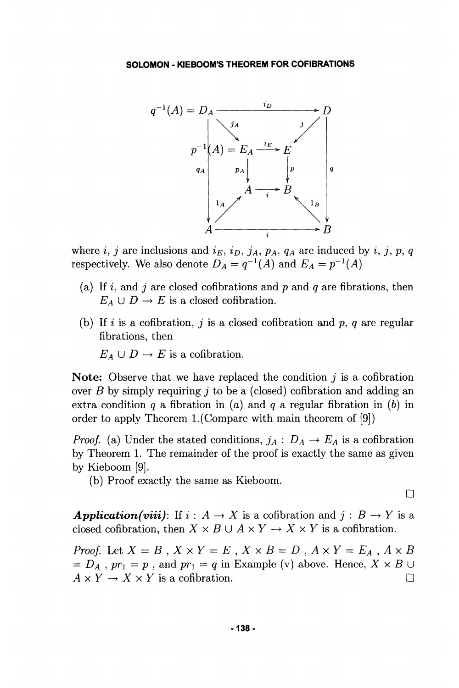

where i, j are inclusions and  $i_E$ ,  $i_D$ ,  $j_A$ ,  $p_A$ ,  $q_A$  are induced by i, j, p, q respectively. We also denote  $D_A = q^{-1}(A)$  and  $E_A = p^{-1}(A)$ 

- (a) If i, and j are closed cofibrations and p and q are fibrations, then  $E_A \cup D \rightarrow E$  is a closed cofibration.
- (b) If i is a cofibration, j is a closed cofibration and p, q are regular fibrations, then

 $E_A \cup D \rightarrow E$  is a cofibration.

**Note:** Observe that we hâve replaced the condition *j* is a cofibration over *B* by simply requiring *j* to be a (closed) cofibration and adding an extra condition *q* a fibration in (a) and *q* a regular fibration in *(b)* in order to apply Theorem 1.(Compare with main theorem of [9])

*Proof.* (a) Under the stated conditions,  $j_A : D_A \to E_A$  is a cofibration by Theorem 1. The remainder of the proof is exactly the same as given by Kieboom [9].

(b) Proof exactly the same as Kieboom.

**•** 

*Application(viii)*: If  $i : A \rightarrow X$  is a cofibration and  $j : B \rightarrow Y$  is a closed cofibration, then  $X \times B \cup A \times Y \rightarrow X \times Y$  is a cofibration.

*Proof.* Let  $X = B$ ,  $X \times Y = E$ ,  $X \times B = D$ ,  $A \times Y = E_A$ ,  $A \times B$  $D_A$ ,  $pr_1 = p$ , and  $pr_1 = q$  in Example (v) above. Hence,  $X \times B \cup$  $A \times Y \to X \times Y$  is a cofibration.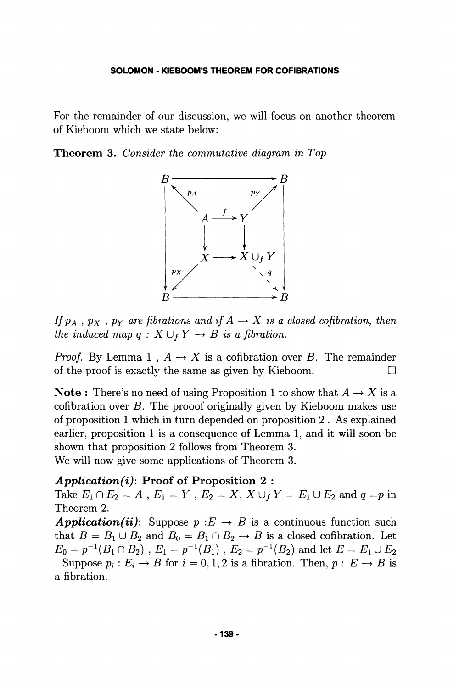For the remainder of our discussion, we will focus on another theorem of Kieboom which we state below:

**Theorem 3.** *Consider the commutative diagram in Top* 



If  $p_A$ ,  $p_X$ ,  $p_Y$  are fibrations and if  $A \rightarrow X$  is a closed cofibration, then *the induced map q :*  $X \cup_{f} Y \rightarrow B$  *is a fibration.* 

*Proof.* By Lemma 1,  $A \rightarrow X$  is a cofibration over B. The remainder of the proof is exactly the same as given by Kieboom.  $\Box$ 

**Note**: There's no need of using Proposition 1 to show that  $A \rightarrow X$  is a cofibration over  $B$ . The prooof originally given by Kieboom makes use of proposition 1 which in turn depended on proposition 2 . As explained earlier, proposition 1 is a consequence of Lemma 1, and it will soon be shown that proposition 2 follows from Theorem 3. We will now give some applications of Theorem 3.

### *Application (i):* **Proof of Proposition 2** :

Take  $E_1 \cap E_2 = A$ ,  $E_1 = Y$ ,  $E_2 = X$ ,  $X \cup_f Y = E_1 \cup E_2$  and  $q = p$  in Theorem 2.

**Application (ii):** Suppose  $p: E \to B$  is a continuous function such that  $B = B_1 \cup B_2$  and  $B_0 = B_1 \cap B_2 \rightarrow B$  is a closed cofibration. Let  $E_0=p^{-1}(B_1\cap B_2)$  ,  $E_1=p^{-1}(B_1)$  ,  $E_2=p^{-1}(B_2)$  and let  $E=E_1\cup E_2$ . Suppose  $p_i: E_i \to B$  for  $i = 0, 1, 2$  is a fibration. Then,  $p: E \to B$  is a fibration.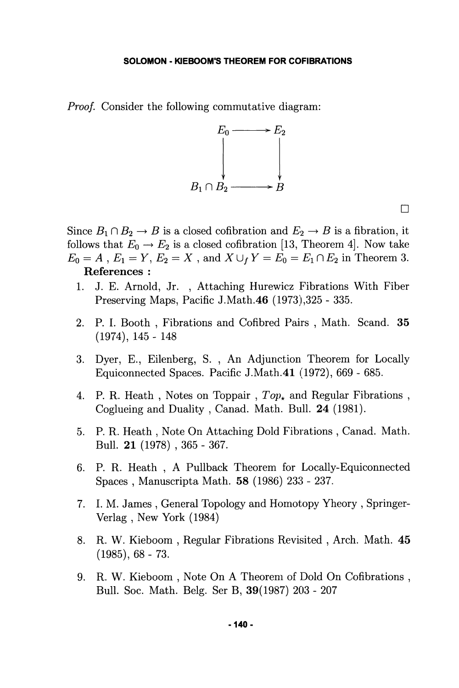*Proof.* Consider the following commutative diagram:



**D** 

Since  $B_1 \cap B_2 \to B$  is a closed cofibration and  $E_2 \to B$  is a fibration, it follows that  $E_0 \to E_2$  is a closed cofibration [13, Theorem 4]. Now take  $E_0 = A$ ,  $E_1 = Y$ ,  $E_2 = X$ , and  $X \cup_f Y = E_0 = E_1 \cap E_2$  in Theorem 3. Références :

- 1. J. E. Arnold, Jr. , Attaching Hurewicz Fibrations With Fiber Preserving Maps, Pacific J.Math.46 (1973),325 - 335.
- 2. P. I. Booth , Fibrations and Cofibred Pairs , Math. Scand. 35 (1974), 145 - 148
- 3. Dyer, E., Eilenberg, S. , An Adjunction Theorem for Locally Equiconnected Spaces. Pacific J.Math.41 (1972), 669 - 685.
- 4. P. R. Heath, Notes on Toppair,  $Top_{\star}$  and Regular Fibrations, Coglueing and Duality , Canad. Math. Bull. 24 (1981).
- 5. P. R. Heath , Note On Attaching Dold Fibrations , Canad. Math. Bull. 21 (1978) , 365 - 367.
- 6. P. R. Heath , A Pullback Theorem for Locally-Equiconnected Spaces , Manuscripta Math. 58 (1986) 233 - 237.
- 7. I. M. James , General Topology and Homotopy Yheory , Springer-Verlag , New York (1984)
- 8. R. W. Kieboom , Regular Fibrations Revisited , Arch. Math. 45  $(1985), 68 - 73.$
- 9. R. W. Kieboom , Note On A Theorem of Dold On Cofibrations , Bull. Soc. Math. Belg. Ser B, 39(1987) 203 - 207